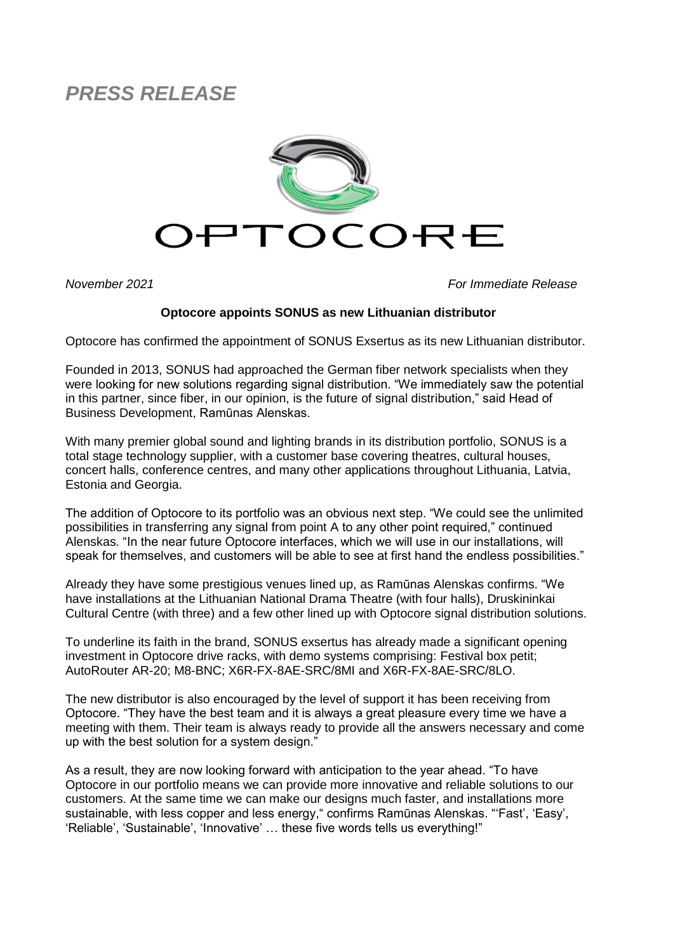## *PRESS RELEASE*



*November 2021 For Immediate Release*

## **Optocore appoints SONUS as new Lithuanian distributor**

Optocore has confirmed the appointment of SONUS Exsertus as its new Lithuanian distributor.

Founded in 2013, SONUS had approached the German fiber network specialists when they were looking for new solutions regarding signal distribution. "We immediately saw the potential in this partner, since fiber, in our opinion, is the future of signal distribution," said Head of Business Development, Ramūnas Alenskas.

With many premier global sound and lighting brands in its distribution portfolio, SONUS is a total stage technology supplier, with a customer base covering theatres, cultural houses, concert halls, conference centres, and many other applications throughout Lithuania, Latvia, Estonia and Georgia.

The addition of Optocore to its portfolio was an obvious next step. "We could see the unlimited possibilities in transferring any signal from point A to any other point required," continued Alenskas. "In the near future Optocore interfaces, which we will use in our installations, will speak for themselves, and customers will be able to see at first hand the endless possibilities."

Already they have some prestigious venues lined up, as Ramūnas Alenskas confirms. "We have installations at the Lithuanian National Drama Theatre (with four halls), Druskininkai Cultural Centre (with three) and a few other lined up with Optocore signal distribution solutions.

To underline its faith in the brand, SONUS exsertus has already made a significant opening investment in Optocore drive racks, with demo systems comprising: Festival box petit; AutoRouter AR-20; M8-BNC; X6R-FX-8AE-SRC/8MI and X6R-FX-8AE-SRC/8LO.

The new distributor is also encouraged by the level of support it has been receiving from Optocore. "They have the best team and it is always a great pleasure every time we have a meeting with them. Their team is always ready to provide all the answers necessary and come up with the best solution for a system design."

As a result, they are now looking forward with anticipation to the year ahead. "To have Optocore in our portfolio means we can provide more innovative and reliable solutions to our customers. At the same time we can make our designs much faster, and installations more sustainable, with less copper and less energy," confirms Ramūnas Alenskas. "'Fast', 'Easy', 'Reliable', 'Sustainable', 'Innovative' … these five words tells us everything!"